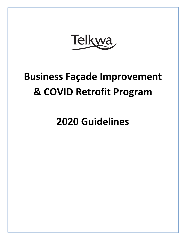Telkwa

# **Business Façade Improvement & COVID Retrofit Program**

**2020 Guidelines**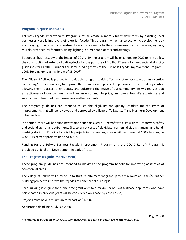#### **Program Purpose and Goals**

Telkwa's Façade Improvement Program aims to create a more vibrant downtown by assisting local businesses visually improve their exterior façade. This program will enhance economic development by encouraging private sector investment on improvements to their businesses such as façades, signage, murals, architectural features, siding, lighting, permanent planters and awnings.

To support businesses with the impact of COVID-19, the program will be expanded for 2020 only\* to allow the construction of extended patios/decks for the purpose of "spill-out" areas to meet social distancing guidelines for COVID-19 (under the same funding terms of the Business Façade Improvement Program – 100% funding up to a maximum of \$5,000\*).

The Village of Telkwa is pleased to provide this program which offers monetary assistance as an incentive to building/business owners, to improve the character and physical appearance of their buildings, while allowing them to assert their identity and bolstering the image of our community. Telkwa realizes that attractiveness of our community will enhance community pride, improve a tourist's experience and support recruitment of new businesses and/or residents.

The program guidelines are intended to set the eligibility and quality standard for the types of improvements that will be reviewed and approved by Village of Telkwa staff and Northern Development Initiative Trust.

In addition, there will be a funding stream to support COVID-19 retrofits to align with return to work safety and social distancing requirements (i.e. to offset costs of plexiglass, barriers, dividers, signage, and handwashing stations). Funding for eligible projects in this funding stream will be offered at 100% funding on COVID-19 retrofit projects up to \$1,000\*.

Funding for the Telkwa Business Façade Improvement Program and the COVID Retrofit Program is provided by Northern Development Initiative Trust.

#### **The Program (Façade Improvement)**

These program guidelines are intended to maximize the program benefit for improving aesthetics of commercial areas.

The Village of Telkwa will provide up to 100% reimbursement grant up to a maximum of up to \$5,000 per building/project to improve the façades of commercial buildings\*.

Each building is eligible for a one time grant only to a maximum of \$5,000 (those applicants who have participated in previous years will be considered on a case-by-case basis\*).

Projects must have a minimum total cost of \$1,000.

Application deadline is July 30, 2020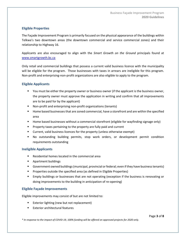# **Eligible Properties**

The Façade Improvement Program is primarily focused on the physical appearance of the buildings within Telkwa's two downtown areas (the downtown commercial and service commercial zones) and their relationship to Highway 16.

Applicants are also encouraged to align with the *Smart Growth on the Ground* principals found at [www.smartgrowth.bc.ca](http://www.smartgrowth.bc.ca/)

Only retail and commercial buildings that possess a current valid business licence with the municipality will be eligible for the program. Those businesses with taxes in arrears are ineligible for this program. Non-profit and enterprising-non-profit organizations are also eligible to apply to the program.

# **Eligible Applicants**

- You must be either the property owner or business owner (if the applicant is the business owner, the property owner must approve the application in writing and confirm that all improvements are to be paid for by the applicant)
- Non-profit and enterprising non-profit organizations (tenants)
- Home based businesses that are zoned commercial, have a storefront and are within the specified area
- Home based businesses without a commercial storefront (eligible for wayfinding signage only)
- Property taxes pertaining to the property are fully paid and current
- **EXECUTE:** Current, valid business licences for the property (unless otherwise exempt)
- No outstanding building permits, stop work orders, or development permit condition requirements outstanding

## **Ineligible Applicants**

- Residential homes located in the commercial area
- Apartment buildings
- Government owned buildings (municipal, provincial or federal; even if they have business tenants)
- Properties outside the specified area (as defined in Eligible Properties)
- Empty buildings or businesses that are not operating (exception if the business is renovating or doing improvements to the building in anticipation of re-opening)

## **Eligible Façade Improvements**

Eligible improvements may consist of but are not limited to:

- Exterior lighting (new but not replacement)
- **Exterior architectural features**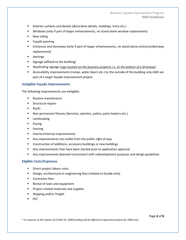- Exterior surfaces and details (decorative details, moldings, trims etc.)
- Windows (only if part of larger enhancements, no stand-alone window replacement)
- New siding
- Façade painting
- **Entrances and doorways (only if part of larger enhancements, no stand-alone entrance/doorway** replacement)
- Awnings
- Signage (affixed to the building)
- Wayfinding signage (*sign located on the business property i.e. at the bottom of a driveway*).
- **EXECOSS** Accessibility improvements (ramps, wider doors etc.) to the outside of the building only AND are part of a larger façade improvement project

#### **Ineligible Façade Improvements**

The following improvements are ineligible:

- Routine maintenance
- Structural repairs
- Roofs
- Non-permanent fixtures (benches, planters, patios, patio heaters etc.)
- Landscaping
- Paving
- Fencing
- **■** Interior/internal improvements
- Any improvements not visible from the public right of way
- Construction of additions, accessory buildings or new buildings
- Any improvements that have been started prior to application approval
- Any improvements deemed inconsistent with redevelopment purposes and design guidelines

#### **Eligible Costs/Expenses**

- Direct project labour costs
- Design, architectural or engineering fees (related to facade only)
- Contractor fees
- Rental of tools and equipment
- Project related materials and supplies
- Shipping and/or freight
- **PST**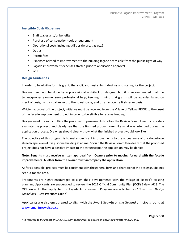# **Ineligible Costs/Expenses**

- Staff wages and/or benefits
- Purchase of construction tools or equipment
- Operational costs including utilities (hydro, gas etc.)
- Duties
- Permit fees
- Expenses related to improvement to the building façade not visible from the public right of way
- Façade improvement expenses started prior to application approval
- **GST**

# **Design Guidelines**

In order to be eligible for this grant, the applicant must submit designs and costing for the project.

Designs need not be done by a professional architect or designer but it is recommended that the tenant/property owner seek professional help, keeping in mind that grants will be awarded based on merit of design and visual impact to the streetscape, and on a first-come first-serve basis.

Written approval of the project/initiative must be received from the Village of Telkwa PRIOR to the onset of the façade improvement project in order to be eligible to receive funding.

Designs need to clearly outline the proposed improvements to allow the Review Committee to accurately evaluate the project, and clearly see that the finished product looks like what was intended during the application process. Drawings should clearly show what the finished project would look like.

The objective of this program is to make significant improvements to the appearance of our downtown streetscape, even if it is just one building at a time. Should the Review Committee deem that the proposed project does not have a positive impact to the streetscape, the application may be denied.

# **Note: Tenants must receive written approval from Owners prior to moving forward with the façade improvements. A letter from the owner must accompany the application.**

As far as possible, projects must be consistent with the general form and character of the design guidelines set out for the area.

Proponents are highly encouraged to align their developments with the Village of Telkwa's existing planning. Applicants are encouraged to review the 2011 Official Community Plan (OCP) Bylaw #613. The OCP excerpts that apply to this Façade Improvement Program are attached as "*Downtown Design Guidelines* - Best Practices Guide".

Applicants are also encouraged to align with the *Smart Growth on the Ground* principals found at [www.smartgrowth.bc.ca](http://www.smartgrowth.bc.ca/)

Page **5** of **8**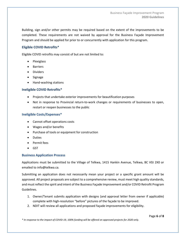Building, sign and/or other permits may be required based on the extent of the improvements to be completed. These requirements are not waived by approval for the Business Façade Improvement Program and should be applied for prior to or concurrently with application for this program.

## **Eligible COVID Retrofits\***

Eligible COVID retrofits may consist of but are not limited to:

- Plexiglass
- Barriers
- Dividers
- Signage
- Hand-washing stations

#### **Ineligible COVID Retrofits\***

- Projects that undertake exterior improvements for beautification purposes
- Not in response to Provincial return-to-work changes or requirements of businesses to open, restart or reopen businesses to the public

#### **Ineligible Costs/Expenses\***

- Cannot offset operations costs
- Wages and/or benefits
- Purchase of tools or equipment for construction
- Duties
- Permit fees
- GST

## **Business Application Process**

Applications must be submitted to the Village of Telkwa, 1415 Hankin Avenue, Telkwa, BC V0J 2X0 or emailed to info@telkwa.ca.

Submitting an application does not necessarily mean your project or a specific grant amount will be approved. All project proposals are subject to a comprehensive review, must meet high quality standards, and must reflect the spirit and intent of the Business Façade Improvement and/or COVID Retrofit Program Guidelines.

- 1. Owner/Tenant submits application with designs (and approval letter from owner if applicable) complete with high-resolution "before" pictures of the façade to be improved.
- 2. NDIT will review all applications and proposed façade improvements for eligibility.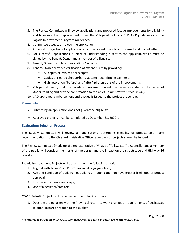- 3. The Review Committee will review applications and proposed façade improvements for eligibility and to ensure that improvements meet the Village of Telkwa's 2011 OCP guidelines and the Façade Improvement Program Guidelines.
- 4. Committee accepts or rejects the application.
- 5. Approval or rejection of application is communicated to applicant by email and mailed letter.
- 6. For successful applications, a letter of understanding is sent to the applicant, which must be signed by the Tenant/Owner and a member of Village staff.
- 7. Tenant/Owner completes renovations/retrofits.
- 8. Tenant/Owner provides verification of expenditures by providing:
	- All copies of invoices or receipts;
	- Copies of cleared cheque/bank statement confirming payment;
	- High-resolution "before" and "after" photographs of the improvements.
- 9. Village staff verify that the façade improvements meet the terms as stated in the Letter of Understanding and provide confirmation to the Chief Administrative Officer (CAO).
- 10. CAO approves reimbursement and cheque is issued to the project proponent.

#### **Please note:**

- $\triangleright$  Submitting an application does not guarantee eligibility.
- ➢ Approved projects must be completed by December 31, 2020\*.

## **Evaluation/Selection Process**

The Review Committee will review all applications, determine eligibility of projects and make recommendations to the Chief Administrative Officer about which projects should be funded.

The Review Committee (made up of a representative of Village of Telkwa staff, a Councillor and a member of the public) will consider the merits of the design and the impact on the streetscape and Highway 16 corridor.

Façade Improvement Projects will be ranked on the following criteria:

- 1. Aligned with Telkwa's 2011 OCP overall design guidelines;
- 2. Age and condition of building i.e. buildings in poor condition have greater likelihood of project approval;
- 3. Positive impact on streetscape;
- 4. Use of a designer/architect.

COVID Retrofit Projects will be ranked on the following criteria:

1. Does the project align with the Provincial return-to-work changes or requirements of businesses to open, restart or reopen to the public\*